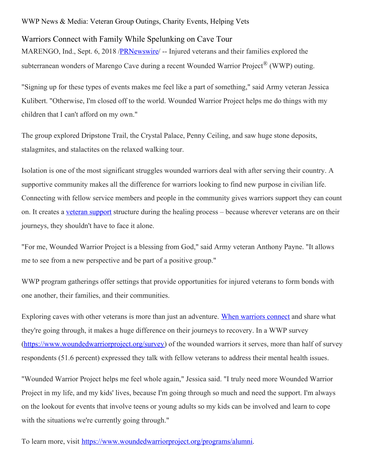## WWP News & Media: Veteran Group Outings, Charity Events, Helping Vets

## Warriors Connect with Family While Spelunking on Cave Tour

MARENGO, Ind., Sept. 6, 2018 [/PRNewswire](http://www.prnewswire.com/)/ -- Injured veterans and their families explored the subterranean wonders of Marengo Cave during a recent Wounded Warrior Project<sup>®</sup> (WWP) outing.

"Signing up for these types of events makes me feel like a part of something," said Army veteran Jessica Kulibert. "Otherwise, I'm closed off to the world. Wounded Warrior Project helps me do things with my children that I can't afford on my own."

The group explored Dripstone Trail, the Crystal Palace, Penny Ceiling, and saw huge stone deposits, stalagmites, and stalactites on the relaxed walking tour.

Isolation is one of the most significant struggles wounded warriors deal with after serving their country. A supportive community makes all the difference for warriors looking to find new purpose in civilian life. Connecting with fellow service members and people in the community gives warriors support they can count on. It creates a veteran [support](https://www.woundedwarriorproject.org/programs/peer-support) structure during the healing process – because wherever veterans are on their journeys, they shouldn't have to face it alone.

"For me, Wounded Warrior Project is a blessing from God," said Army veteran Anthony Payne. "It allows me to see from a new perspective and be part of a positive group."

WWP program gatherings offer settings that provide opportunities for injured veterans to form bonds with one another, their families, and their communities.

Exploring caves with other veterans is more than just an adventure. When [warriors](https://www.woundedwarriorproject.org/programs/get-connected) connect and share what they're going through, it makes a huge difference on their journeys to recovery. In a WWP survey [\(https://www.woundedwarriorproject.org/survey](https://c212.net/c/link/?t=0&l=en&o=2218465-1&h=2854989650&u=https%3A%2F%2Fwww.woundedwarriorproject.org%2Fsurvey&a=https%3A%2F%2Fwww.woundedwarriorproject.org%2Fsurvey)) of the wounded warriors it serves, more than half of survey respondents (51.6 percent) expressed they talk with fellow veterans to address their mental health issues.

"Wounded Warrior Project helps me feel whole again," Jessica said. "I truly need more Wounded Warrior Project in my life, and my kids' lives, because I'm going through so much and need the support. I'm always on the lookout for events that involve teens or young adults so my kids can be involved and learn to cope with the situations we're currently going through."

To learn more, visit [https://www.woundedwarriorproject.org/programs/alumni](https://c212.net/c/link/?t=0&l=en&o=2218465-1&h=3858634127&u=https%3A%2F%2Fwww.woundedwarriorproject.org%2Fprograms%2Falumni&a=https%3A%2F%2Fwww.woundedwarriorproject.org%2Fprograms%2Falumni).